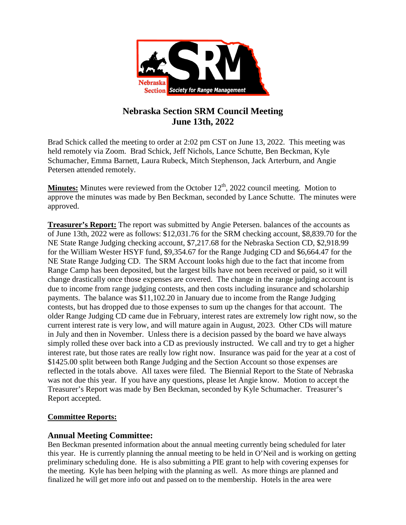

# **Nebraska Section SRM Council Meeting June 13th, 2022**

Brad Schick called the meeting to order at 2:02 pm CST on June 13, 2022. This meeting was held remotely via Zoom. Brad Schick, Jeff Nichols, Lance Schutte, Ben Beckman, Kyle Schumacher, Emma Barnett, Laura Rubeck, Mitch Stephenson, Jack Arterburn, and Angie Petersen attended remotely.

**Minutes:** Minutes were reviewed from the October  $12<sup>th</sup>$ , 2022 council meeting. Motion to approve the minutes was made by Ben Beckman, seconded by Lance Schutte. The minutes were approved.

**Treasurer's Report:** The report was submitted by Angie Petersen. balances of the accounts as of June 13th, 2022 were as follows: \$12,031.76 for the SRM checking account, \$8,839.70 for the NE State Range Judging checking account, \$7,217.68 for the Nebraska Section CD, \$2,918.99 for the William Wester HSYF fund, \$9,354.67 for the Range Judging CD and \$6,664.47 for the NE State Range Judging CD. The SRM Account looks high due to the fact that income from Range Camp has been deposited, but the largest bills have not been received or paid, so it will change drastically once those expenses are covered. The change in the range judging account is due to income from range judging contests, and then costs including insurance and scholarship payments. The balance was \$11,102.20 in January due to income from the Range Judging contests, but has dropped due to those expenses to sum up the changes for that account. The older Range Judging CD came due in February, interest rates are extremely low right now, so the current interest rate is very low, and will mature again in August, 2023. Other CDs will mature in July and then in November. Unless there is a decision passed by the board we have always simply rolled these over back into a CD as previously instructed. We call and try to get a higher interest rate, but those rates are really low right now. Insurance was paid for the year at a cost of \$1425.00 split between both Range Judging and the Section Account so those expenses are reflected in the totals above. All taxes were filed. The Biennial Report to the State of Nebraska was not due this year. If you have any questions, please let Angie know. Motion to accept the Treasurer's Report was made by Ben Beckman, seconded by Kyle Schumacher. Treasurer's Report accepted.

## **Committee Reports:**

## **Annual Meeting Committee:**

Ben Beckman presented information about the annual meeting currently being scheduled for later this year. He is currently planning the annual meeting to be held in O'Neil and is working on getting preliminary scheduling done. He is also submitting a PIE grant to help with covering expenses for the meeting. Kyle has been helping with the planning as well. As more things are planned and finalized he will get more info out and passed on to the membership. Hotels in the area were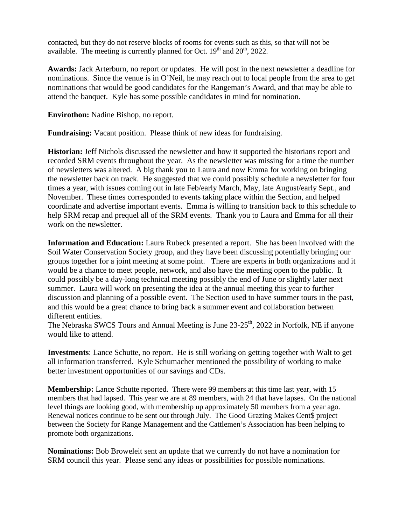contacted, but they do not reserve blocks of rooms for events such as this, so that will not be available. The meeting is currently planned for Oct.  $19<sup>th</sup>$  and  $20<sup>th</sup>$ , 2022.

**Awards:** Jack Arterburn, no report or updates. He will post in the next newsletter a deadline for nominations. Since the venue is in O'Neil, he may reach out to local people from the area to get nominations that would be good candidates for the Rangeman's Award, and that may be able to attend the banquet. Kyle has some possible candidates in mind for nomination.

**Envirothon:** Nadine Bishop, no report.

**Fundraising:** Vacant position. Please think of new ideas for fundraising.

**Historian:** Jeff Nichols discussed the newsletter and how it supported the historians report and recorded SRM events throughout the year. As the newsletter was missing for a time the number of newsletters was altered. A big thank you to Laura and now Emma for working on bringing the newsletter back on track. He suggested that we could possibly schedule a newsletter for four times a year, with issues coming out in late Feb/early March, May, late August/early Sept., and November. These times corresponded to events taking place within the Section, and helped coordinate and advertise important events. Emma is willing to transition back to this schedule to help SRM recap and prequel all of the SRM events. Thank you to Laura and Emma for all their work on the newsletter.

**Information and Education:** Laura Rubeck presented a report. She has been involved with the Soil Water Conservation Society group, and they have been discussing potentially bringing our groups together for a joint meeting at some point. There are experts in both organizations and it would be a chance to meet people, network, and also have the meeting open to the public. It could possibly be a day-long technical meeting possibly the end of June or slightly later next summer. Laura will work on presenting the idea at the annual meeting this year to further discussion and planning of a possible event. The Section used to have summer tours in the past, and this would be a great chance to bring back a summer event and collaboration between different entities.

The Nebraska SWCS Tours and Annual Meeting is June  $23-25<sup>th</sup>$ , 2022 in Norfolk, NE if anyone would like to attend.

**Investments**: Lance Schutte, no report. He is still working on getting together with Walt to get all information transferred. Kyle Schumacher mentioned the possibility of working to make better investment opportunities of our savings and CDs.

**Membership:** Lance Schutte reported. There were 99 members at this time last year, with 15 members that had lapsed. This year we are at 89 members, with 24 that have lapses. On the national level things are looking good, with membership up approximately 50 members from a year ago. Renewal notices continue to be sent out through July. The Good Grazing Makes Cent\$ project between the Society for Range Management and the Cattlemen's Association has been helping to promote both organizations.

**Nominations:** Bob Broweleit sent an update that we currently do not have a nomination for SRM council this year. Please send any ideas or possibilities for possible nominations.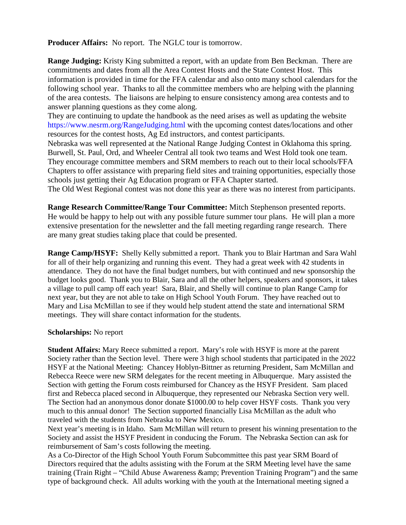**Producer Affairs:** No report. The NGLC tour is tomorrow.

**Range Judging:** Kristy King submitted a report, with an update from Ben Beckman. There are commitments and dates from all the Area Contest Hosts and the State Contest Host. This information is provided in time for the FFA calendar and also onto many school calendars for the following school year. Thanks to all the committee members who are helping with the planning of the area contests. The liaisons are helping to ensure consistency among area contests and to answer planning questions as they come along.

They are continuing to update the handbook as the need arises as well as updating the website <https://www.nesrm.org/RangeJudging.html> with the upcoming contest dates/locations and other resources for the contest hosts, Ag Ed instructors, and contest participants.

Nebraska was well represented at the National Range Judging Contest in Oklahoma this spring. Burwell, St. Paul, Ord, and Wheeler Central all took two teams and West Hold took one team. They encourage committee members and SRM members to reach out to their local schools/FFA Chapters to offer assistance with preparing field sites and training opportunities, especially those schools just getting their Ag Education program or FFA Chapter started.

The Old West Regional contest was not done this year as there was no interest from participants.

**Range Research Committee/Range Tour Committee:** Mitch Stephenson presented reports. He would be happy to help out with any possible future summer tour plans. He will plan a more extensive presentation for the newsletter and the fall meeting regarding range research. There are many great studies taking place that could be presented.

**Range Camp/HSYF:** Shelly Kelly submitted a report. Thank you to Blair Hartman and Sara Wahl for all of their help organizing and running this event. They had a great week with 42 students in attendance. They do not have the final budget numbers, but with continued and new sponsorship the budget looks good. Thank you to Blair, Sara and all the other helpers, speakers and sponsors, it takes a village to pull camp off each year! Sara, Blair, and Shelly will continue to plan Range Camp for next year, but they are not able to take on High School Youth Forum. They have reached out to Mary and Lisa McMillan to see if they would help student attend the state and international SRM meetings. They will share contact information for the students.

#### **Scholarships:** No report

**Student Affairs:** Mary Reece submitted a report. Mary's role with HSYF is more at the parent Society rather than the Section level. There were 3 high school students that participated in the 2022 HSYF at the National Meeting: Chancey Hoblyn-Bittner as returning President, Sam McMillan and Rebecca Reece were new SRM delegates for the recent meeting in Albuquerque. Mary assisted the Section with getting the Forum costs reimbursed for Chancey as the HSYF President. Sam placed first and Rebecca placed second in Albuquerque, they represented our Nebraska Section very well. The Section had an anonymous donor donate \$1000.00 to help cover HSYF costs. Thank you very much to this annual donor! The Section supported financially Lisa McMillan as the adult who traveled with the students from Nebraska to New Mexico.

Next year's meeting is in Idaho. Sam McMillan will return to present his winning presentation to the Society and assist the HSYF President in conducing the Forum. The Nebraska Section can ask for reimbursement of Sam's costs following the meeting.

As a Co-Director of the High School Youth Forum Subcommittee this past year SRM Board of Directors required that the adults assisting with the Forum at the SRM Meeting level have the same training (Train Right – "Child Abuse Awareness & amp; Prevention Training Program") and the same type of background check. All adults working with the youth at the International meeting signed a